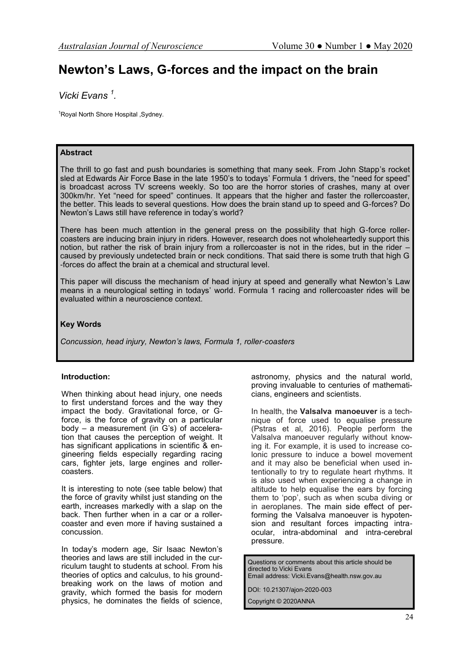# **Newton's Laws, G-forces and the impact on the brain**

*Vicki Evans <sup>1</sup> .*

1Royal North Shore Hospital , Sydney.

# **Abstract**

The thrill to go fast and push boundaries is something that many seek. From John Stapp's rocket sled at Edwards Air Force Base in the late 1950's to todays' Formula 1 drivers, the "need for speed" is broadcast across TV screens weekly. So too are the horror stories of crashes, many at over 300km/hr. Yet "need for speed" continues. It appears that the higher and faster the rollercoaster, the better. This leads to several questions. How does the brain stand up to speed and G-forces? Do Newton's Laws still have reference in today's world?

There has been much attention in the general press on the possibility that high G-force rollercoasters are inducing brain injury in riders. However, research does not wholeheartedly support this notion, but rather the risk of brain injury from a rollercoaster is not in the rides, but in the rider – caused by previously undetected brain or neck conditions. That said there is some truth that high G -forces do affect the brain at a chemical and structural level.

This paper will discuss the mechanism of head injury at speed and generally what Newton's Law means in a neurological setting in todays' world. Formula 1 racing and rollercoaster rides will be evaluated within a neuroscience context.

## **Key Words**

*Concussion, head injury, Newton's laws, Formula 1, roller-coasters*

## **Introduction:**

When thinking about head injury, one needs to first understand forces and the way they impact the body. Gravitational force, or Gforce, is the force of gravity on a particular body – a measurement (in G's) of acceleration that causes the perception of weight. It has significant applications in scientific & engineering fields especially regarding racing cars, fighter jets, large engines and rollercoasters.

It is interesting to note (see table below) that the force of gravity whilst just standing on the earth, increases markedly with a slap on the back. Then further when in a car or a rollercoaster and even more if having sustained a concussion.

In today's modern age, Sir Isaac Newton's theories and laws are still included in the curriculum taught to students at school. From his theories of optics and calculus, to his groundbreaking work on the laws of motion and gravity, which formed the basis for modern physics, he dominates the fields of science, astronomy, physics and the natural world, proving invaluable to centuries of mathematicians, engineers and scientists.

In health, the **Valsalva manoeuver** is a technique of force used to equalise pressure (Pstras et al, 2016). People perform the Valsalva manoeuver regularly without knowing it. For example, it is used to increase colonic pressure to induce a bowel movement and it may also be beneficial when used intentionally to try to regulate heart rhythms. It is also used when experiencing a change in altitude to help equalise the ears by forcing them to 'pop', such as when scuba diving or in aeroplanes. The main side effect of performing the Valsalva manoeuver is hypotension and resultant forces impacting intraocular, intra-abdominal and intra-cerebral pressure.

Questions or comments about this article should be directed to Vicki Evans Email address: Vicki.Evans@health.nsw.gov.au

DOI: 10.21307/ajon-2020-003

Copyright © 2020ANNA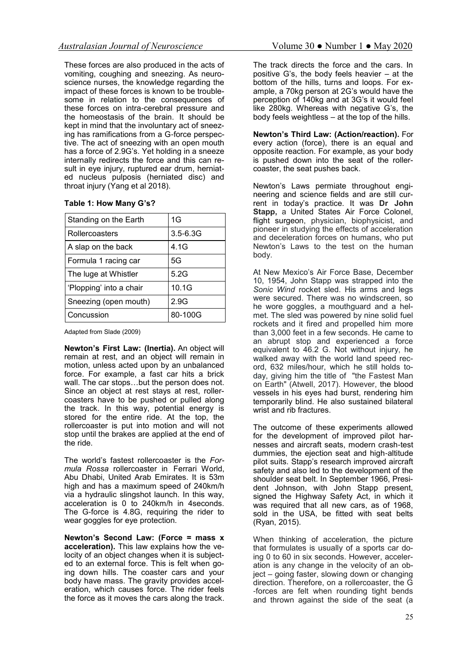These forces are also produced in the acts of vomiting, coughing and sneezing. As neuroscience nurses, the knowledge regarding the impact of these forces is known to be troublesome in relation to the consequences of these forces on intra-cerebral pressure and the homeostasis of the brain. It should be kept in mind that the involuntary act of sneezing has ramifications from a G-force perspective. The act of sneezing with an open mouth has a force of 2.9G's. Yet holding in a sneeze internally redirects the force and this can result in eye injury, ruptured ear drum, herniated nucleus pulposis (herniated disc) and throat injury (Yang et al 2018).

| Table 1: How Many G's? |  |  |
|------------------------|--|--|
|                        |  |  |

| Standing on the Earth   | 1G           |  |
|-------------------------|--------------|--|
| Rollercoasters          | $3.5 - 6.3G$ |  |
| A slap on the back      | 4.1G         |  |
| Formula 1 racing car    | 5G           |  |
| The luge at Whistler    | 5.2G         |  |
| 'Plopping' into a chair | 10.1G        |  |
| Sneezing (open mouth)   | 2.9G         |  |
| Concussion              | 80-100G      |  |

Adapted from Slade (2009)

**Newton's First Law: (Inertia).** An object will remain at rest, and an object will remain in motion, unless acted upon by an unbalanced force. For example, a fast car hits a brick wall. The car stops…but the person does not. Since an object at rest stays at rest, rollercoasters have to be pushed or pulled along the track. In this way, potential energy is stored for the entire ride. At the top, the rollercoaster is put into motion and will not stop until the brakes are applied at the end of the ride.

The world's fastest rollercoaster is the *Formula Rossa* rollercoaster in Ferrari World, Abu Dhabi, United Arab Emirates. It is 53m high and has a maximum speed of 240km/h via a hydraulic slingshot launch. In this way, acceleration is 0 to 240km/h in 4seconds. The G-force is 4.8G, requiring the rider to wear goggles for eye protection.

**Newton's Second Law: (Force = mass x acceleration).** This law explains how the velocity of an object changes when it is subjected to an external force. This is felt when going down hills. The coaster cars and your body have mass. The gravity provides acceleration, which causes force. The rider feels the force as it moves the cars along the track. The track directs the force and the cars. In positive G's, the body feels heavier – at the bottom of the hills, turns and loops. For example, a 70kg person at 2G's would have the perception of 140kg and at 3G's it would feel like 280kg. Whereas with negative G's, the body feels weightless – at the top of the hills.

**Newton's Third Law: (Action/reaction).** For every action (force), there is an equal and opposite reaction. For example, as your body is pushed down into the seat of the rollercoaster, the seat pushes back.

Newton's Laws permiate throughout engineering and science fields and are still current in today's practice. It was **Dr John Stapp,** a United States Air Force Colonel, flight surgeon, physician, biophysicist, and pioneer in studying the effects of acceleration and deceleration forces on humans, who put Newton's Laws to the test on the human body.

At New Mexico's Air Force Base, December 10, 1954, John Stapp was strapped into the *Sonic Wind* rocket sled. His arms and legs were secured. There was no windscreen, so he wore goggles, a mouthguard and a helmet. The sled was powered by nine solid fuel rockets and it fired and propelled him more than 3,000 feet in a few seconds. He came to an abrupt stop and experienced a force equivalent to 46.2 G. Not without injury, he walked away with the world land speed record, 632 miles/hour, which he still holds today, giving him the title of "the Fastest Man on Earth" (Atwell, 2017). However, the blood vessels in his eyes had burst, rendering him temporarily blind. He also sustained bilateral wrist and rib fractures.

The outcome of these experiments allowed for the development of improved pilot harnesses and aircraft seats, modern crash-test dummies, the ejection seat and high-altitude pilot suits. Stapp's research improved aircraft safety and also led to the development of the shoulder seat belt. In September 1966, President Johnson, with John Stapp present, signed the Highway Safety Act, in which it was required that all new cars, as of 1968, sold in the USA, be fitted with seat belts (Ryan, 2015).

When thinking of acceleration, the picture that formulates is usually of a sports car doing 0 to 60 in six seconds. However, acceleration is any change in the velocity of an object – going faster, slowing down or changing direction. Therefore, on a rollercoaster, the G -forces are felt when rounding tight bends and thrown against the side of the seat (a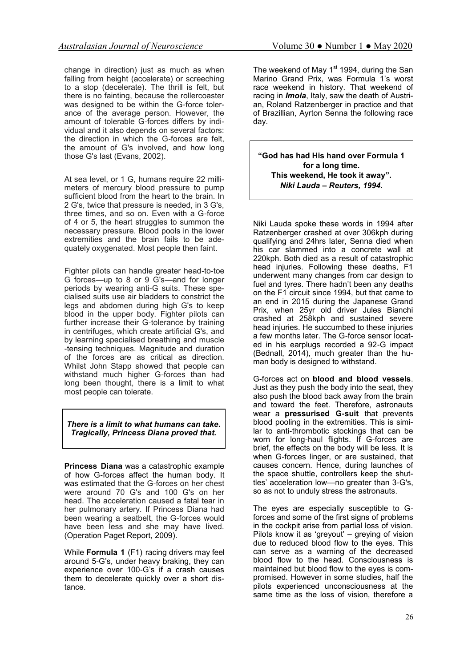change in direction) just as much as when falling from height (accelerate) or screeching to a stop (decelerate). The thrill is felt, but there is no fainting, because the rollercoaster was designed to be within the G-force tolerance of the average person. However, the amount of tolerable G-forces differs by individual and it also depends on several factors: the direction in which the G-forces are felt, the amount of G's involved, and how long those G's last (Evans, 2002).

At sea level, or 1 G, humans require 22 millimeters of mercury blood pressure to pump sufficient blood from the heart to the brain. In 2 G's, twice that pressure is needed, in 3 G's, three times, and so on. Even with a G-force of 4 or 5, the heart struggles to summon the necessary pressure. Blood pools in the lower extremities and the brain fails to be adequately oxygenated. Most people then faint.

Fighter pilots can handle greater head-to-toe G forces—up to 8 or 9 G's—and for longer periods by wearing anti-G suits. These specialised suits use air bladders to constrict the legs and abdomen during high G's to keep blood in the upper body. Fighter pilots can further increase their G-tolerance by training in centrifuges, which create artificial G's, and by learning specialised breathing and muscle -tensing techniques. Magnitude and duration of the forces are as critical as direction. Whilst John Stapp showed that people can withstand much higher G-forces than had long been thought, there is a limit to what most people can tolerate.

*There is a limit to what humans can take. Tragically, Princess Diana proved that.*

**Princess Diana** was a catastrophic example of how G-forces affect the human body. It was estimated that the G-forces on her chest were around 70 G's and 100 G's on her head. The acceleration caused a fatal tear in her pulmonary artery. If Princess Diana had been wearing a seatbelt, the G-forces would have been less and she may have lived. (Operation Paget Report, 2009).

While **Formula 1** (F1) racing drivers may feel around 5-G's, under heavy braking, they can experience over 100-G's if a crash causes them to decelerate quickly over a short distance.

The weekend of May  $1<sup>st</sup>$  1994, during the San Marino Grand Prix, was Formula 1's worst race weekend in history. That weekend of racing in *Imola*, Italy, saw the death of Austrian, Roland Ratzenberger in practice and that of Brazillian, Ayrton Senna the following race day.

**"God has had His hand over Formula 1 for a long time. This weekend, He took it away".**  *Niki Lauda – Reuters, 1994.*

Niki Lauda spoke these words in 1994 after Ratzenberger crashed at over 306kph during qualifying and 24hrs later, Senna died when his car slammed into a concrete wall at 220kph. Both died as a result of catastrophic head injuries. Following these deaths, F1 underwent many changes from car design to fuel and tyres. There hadn't been any deaths on the F1 circuit since 1994, but that came to an end in 2015 during the Japanese Grand Prix, when 25yr old driver Jules Bianchi crashed at 258kph and sustained severe head injuries. He succumbed to these injuries a few months later. The G-force sensor located in his earplugs recorded a 92-G impact (Bednall, 2014), much greater than the human body is designed to withstand.

G-forces act on **blood and blood vessels**. Just as they push the body into the seat, they also push the blood back away from the brain and toward the feet. Therefore, astronauts wear a **pressurised G-suit** that prevents blood pooling in the extremities. This is similar to anti-thrombotic stockings that can be worn for long-haul flights. If G-forces are brief, the effects on the body will be less. It is when G-forces linger, or are sustained, that causes concern. Hence, during launches of the space shuttle, controllers keep the shuttles' acceleration low—no greater than 3-G's, so as not to unduly stress the astronauts.

The eyes are especially susceptible to Gforces and some of the first signs of problems in the cockpit arise from partial loss of vision. Pilots know it as 'greyout' – greying of vision due to reduced blood flow to the eyes. This can serve as a warning of the decreased blood flow to the head. Consciousness is maintained but blood flow to the eyes is compromised. However in some studies, half the pilots experienced unconsciousness at the same time as the loss of vision, therefore a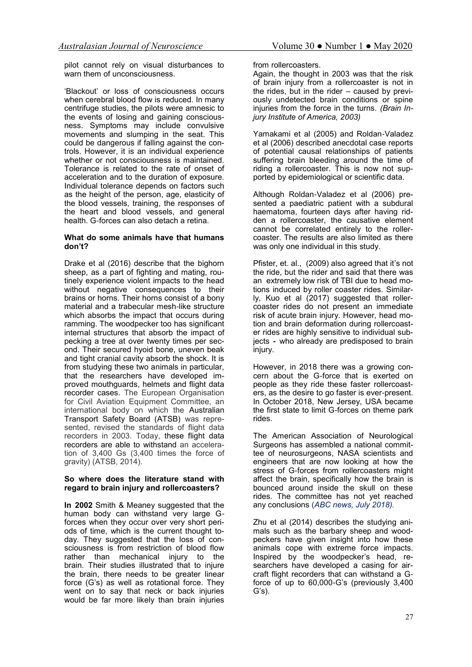pilot cannot rely on visual disturbances to warn them of unconsciousness.

'Blackout' or loss of consciousness occurs when cerebral blood flow is reduced. In many centrifuge studies, the pilots were amnesic to the events of losing and gaining consciousness. Symptoms may include convulsive movements and slumping in the seat. This could be dangerous if falling against the controls. However, it is an individual experience whether or not consciousness is maintained. Tolerance is related to the rate of onset of acceleration and to the duration of exposure. Individual tolerance depends on factors such as the height of the person, age, elasticity of the blood vessels, training, the responses of the heart and blood vessels, and general health. G-forces can also detach a retina.

#### **What do some animals have that humans don't?**

Drake et al (2016) describe that the bighorn sheep, as a part of fighting and mating, routinely experience violent impacts to the head without negative consequences to their brains or horns. Their horns consist of a bony material and a trabecular mesh-like structure which absorbs the impact that occurs during ramming. The woodpecker too has significant internal structures that absorb the impact of pecking a tree at over twenty times per second. Their secured hyoid bone, uneven beak and tight cranial cavity absorb the shock. It is from studying these two animals in particular, that the researchers have developed improved mouthguards, helmets and flight data recorder cases. The European Organisation for Civil Aviation Equipment Committee, an international body on which the Australian Transport Safety Board (ATSB) was represented, revised the standards of flight data recorders in 2003. Today, these flight data recorders are able to withstand an acceleration of 3,400 Gs (3,400 times the force of gravity) (ATSB, 2014).

### **So where does the literature stand with regard to brain injury and rollercoasters?**

**In 2002** Smith & Meaney suggested that the human body can withstand very large Gforces when they occur over very short periods of time, which is the current thought today. They suggested that the loss of consciousness is from restriction of blood flow rather than mechanical injury to the brain. Their studies illustrated that to injure the brain, there needs to be greater linear force (G's) as well as rotational force. They went on to say that neck or back injuries would be far more likely than brain injuries

from rollercoasters.

Again, the thought in 2003 was that the risk of brain injury from a rollercoaster is not in the rides, but in the rider – caused by previously undetected brain conditions or spine injuries from the force in the turns. *(Brain Injury Institute of America, 2003)*

Yamakami et al (2005) and Roldan-Valadez et al (2006) described anecdotal case reports of potential causal relationships of patients suffering brain bleeding around the time of riding a rollercoaster. This is now not supported by epidemiological or scientific data.

Although Roldan-Valadez et al (2006) presented a paediatric patient with a subdural haematoma, fourteen days after having ridden a rollercoaster, the causative element cannot be correlated entirely to the rollercoaster. The results are also limited as there was only one individual in this study.

Pfister, et. al., (2009) also agreed that it's not the ride, but the rider and said that there was an extremely low risk of TBI due to head motions induced by roller coaster rides. Similarly, Kuo et al (2017) suggested that rollercoaster rides do not present an immediate risk of acute brain injury. However, head motion and brain deformation during rollercoaster rides are highly sensitive to individual subjects **-** who already are predisposed to brain injury.

However, in 2018 there was a growing concern about the G-force that is exerted on people as they ride these faster rollercoasters, as the desire to go faster is ever-present. In October 2018, New Jersey, USA became the first state to limit G-forces on theme park rides.

The American Association of Neurological Surgeons has assembled a national committee of neurosurgeons, NASA scientists and engineers that are now looking at how the stress of G-forces from rollercoasters might affect the brain, specifically how the brain is bounced around inside the skull on these rides. The committee has not yet reached any conclusions (*ABC news, July 2018).* 

Zhu et al (2014) describes the studying animals such as the barbary sheep and woodpeckers have given insight into how these animals cope with extreme force impacts. Inspired by the woodpecker's head, researchers have developed a casing for aircraft flight recorders that can withstand a Gforce of up to 60,000-G's (previously 3,400 G's).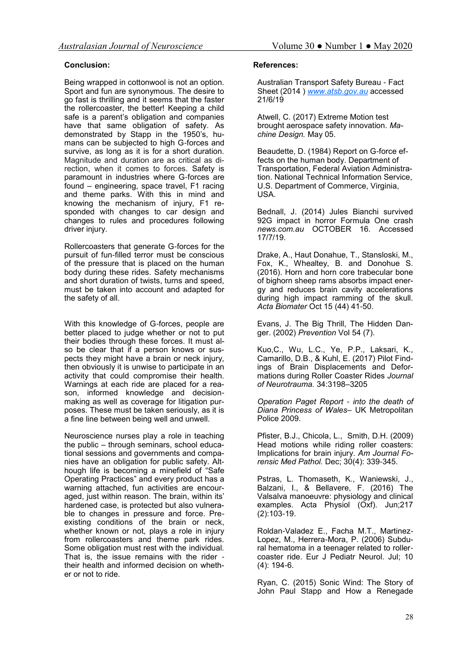# **Conclusion:**

Being wrapped in cottonwool is not an option. Sport and fun are synonymous. The desire to go fast is thrilling and it seems that the faster the rollercoaster, the better! Keeping a child safe is a parent's obligation and companies have that same obligation of safety. As demonstrated by Stapp in the 1950's, humans can be subjected to high G-forces and survive, as long as it is for a short duration. Magnitude and duration are as critical as direction, when it comes to forces. Safety is paramount in industries where G-forces are found – engineering, space travel, F1 racing and theme parks. With this in mind and knowing the mechanism of injury, F1 responded with changes to car design and changes to rules and procedures following driver injury.

Rollercoasters that generate G-forces for the pursuit of fun-filled terror must be conscious of the pressure that is placed on the human body during these rides. Safety mechanisms and short duration of twists, turns and speed, must be taken into account and adapted for the safety of all.

With this knowledge of G-forces, people are better placed to judge whether or not to put their bodies through these forces. It must also be clear that if a person knows or suspects they might have a brain or neck injury, then obviously it is unwise to participate in an activity that could compromise their health. Warnings at each ride are placed for a reason, informed knowledge and decisionmaking as well as coverage for litigation purposes. These must be taken seriously, as it is a fine line between being well and unwell.

Neuroscience nurses play a role in teaching the public – through seminars, school educational sessions and governments and companies have an obligation for public safety. Although life is becoming a minefield of "Safe Operating Practices" and every product has a warning attached, fun activities are encouraged, just within reason. The brain, within its' hardened case, is protected but also vulnerable to changes in pressure and force. Preexisting conditions of the brain or neck, whether known or not, plays a role in injury from rollercoasters and theme park rides. Some obligation must rest with the individual. That is, the issue remains with the rider their health and informed decision on whether or not to ride.

## **References:**

Australian Transport Safety Bureau - Fact Sheet (2014 ) *[www.atsb.gov.au](http://www.atsb.gov.au)* accessed 21/6/19

Atwell, C. (2017) Extreme Motion test brought aerospace safety innovation. *Machine Design.* May 05.

Beaudette, D. (1984) Report on G-force effects on the human body. Department of Transportation, Federal Aviation Administration. National Technical Information Service, U.S. Department of Commerce, Virginia, USA.

Bednall, J. (2014) Jules Bianchi survived 92G impact in horror Formula One crash *[news.com.au](https://www.news.com.au/)* OCTOBER 16. Accessed 17/7/19.

Drake, A., Haut Donahue, T., Stansloski, M., Fox, K., Whealtey, B. and Donohue S. (2016). Horn and horn core trabecular bone of bighorn sheep rams absorbs impact energy and reduces brain cavity accelerations during high impact ramming of the skull. *Acta Biomater* Oct 15 (44) 41-50.

Evans, J. The Big Thrill, The Hidden Danger. (2002) *Prevention* Vol 54 (7).

Kuo,C., Wu, L.C., Ye, P.P., Laksari, K., Camarillo, D.B., & Kuhl, E. (2017) Pilot Findings of Brain Displacements and Deformations during Roller Coaster Rides *Journal of Neurotrauma.* 34:3198–3205

*Operation Paget Report - into the death of Diana Princess of Wales*– UK Metropolitan Police 2009.

Pfister, B.J., Chicola, L., Smith, D.H. (2009) Head motions while riding roller coasters: Implications for brain injury. *Am Journal Forensic Med Pathol.* Dec; 30(4): 339-345.

Pstras, L. Thomaseth, K., Waniewski, J., Balzani, I., & Bellavere, F. (2016) The Valsalva manoeuvre: physiology and clinical examples. Acta Physiol (Oxf). Jun;217 (2):103-19.

Roldan-Valadez E., Facha M.T., Martinez-Lopez, M., Herrera-Mora, P. (2006) Subdural hematoma in a teenager related to rollercoaster ride. Eur J Pediatr Neurol. Jul; 10 (4): 194-6.

Ryan, C. (2015) Sonic Wind: The Story of John Paul Stapp and How a Renegade